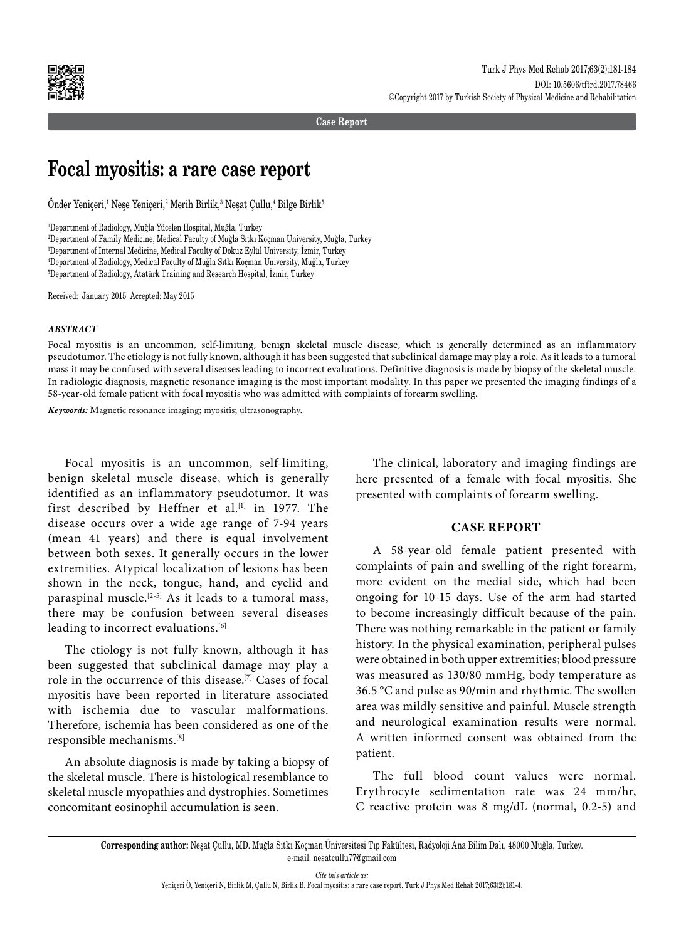

**Case Report**

# **Focal myositis: a rare case report**

Onder Yeniçeri,<sup>1</sup> Neşe Yeniçeri,<sup>2</sup> Merih Birlik,<sup>3</sup> Neşat Çullu,<sup>4</sup> Bilge Birlik<sup>5</sup>

 Department of Radiology, Muğla Yücelen Hospital, Muğla, Turkey Department of Family Medicine, Medical Faculty of Muğla Sıtkı Koçman University, Muğla, Turkey Department of Internal Medicine, Medical Faculty of Dokuz Eylül University, İzmir, Turkey Department of Radiology, Medical Faculty of Muğla Sıtkı Koçman University, Muğla, Turkey Department of Radiology, Atatürk Training and Research Hospital, İzmir, Turkey

Received: January 2015 Accepted: May 2015

#### *ABSTRACT*

Focal myositis is an uncommon, self-limiting, benign skeletal muscle disease, which is generally determined as an inflammatory pseudotumor. The etiology is not fully known, although it has been suggested that subclinical damage may play a role. As it leads to a tumoral mass it may be confused with several diseases leading to incorrect evaluations. Definitive diagnosis is made by biopsy of the skeletal muscle. In radiologic diagnosis, magnetic resonance imaging is the most important modality. In this paper we presented the imaging findings of a 58-year-old female patient with focal myositis who was admitted with complaints of forearm swelling.

*Keywords:* Magnetic resonance imaging; myositis; ultrasonography.

Focal myositis is an uncommon, self-limiting, benign skeletal muscle disease, which is generally identified as an inflammatory pseudotumor. It was first described by Heffner et al.<sup>[1]</sup> in 1977. The disease occurs over a wide age range of 7-94 years (mean 41 years) and there is equal involvement between both sexes. It generally occurs in the lower extremities. Atypical localization of lesions has been shown in the neck, tongue, hand, and eyelid and paraspinal muscle.<sup>[2-5]</sup> As it leads to a tumoral mass, there may be confusion between several diseases leading to incorrect evaluations.<sup>[6]</sup>

The etiology is not fully known, although it has been suggested that subclinical damage may play a role in the occurrence of this disease.[7] Cases of focal myositis have been reported in literature associated with ischemia due to vascular malformations. Therefore, ischemia has been considered as one of the responsible mechanisms.[8]

An absolute diagnosis is made by taking a biopsy of the skeletal muscle. There is histological resemblance to skeletal muscle myopathies and dystrophies. Sometimes concomitant eosinophil accumulation is seen.

The clinical, laboratory and imaging findings are here presented of a female with focal myositis. She presented with complaints of forearm swelling.

## **CASE REPORT**

A 58-year-old female patient presented with complaints of pain and swelling of the right forearm, more evident on the medial side, which had been ongoing for 10-15 days. Use of the arm had started to become increasingly difficult because of the pain. There was nothing remarkable in the patient or family history. In the physical examination, peripheral pulses were obtained in both upper extremities; blood pressure was measured as 130/80 mmHg, body temperature as 36.5 °C and pulse as 90/min and rhythmic. The swollen area was mildly sensitive and painful. Muscle strength and neurological examination results were normal. A written informed consent was obtained from the patient.

The full blood count values were normal. Erythrocyte sedimentation rate was 24 mm/hr, C reactive protein was 8 mg/dL (normal, 0.2-5) and

**Corresponding author:** Neşat Çullu, MD. Muğla Sıtkı Koçman Üniversitesi Tıp Fakültesi, Radyoloji Ana Bilim Dalı, 48000 Muğla, Turkey. e-mail: nesatcullu77@gmail.com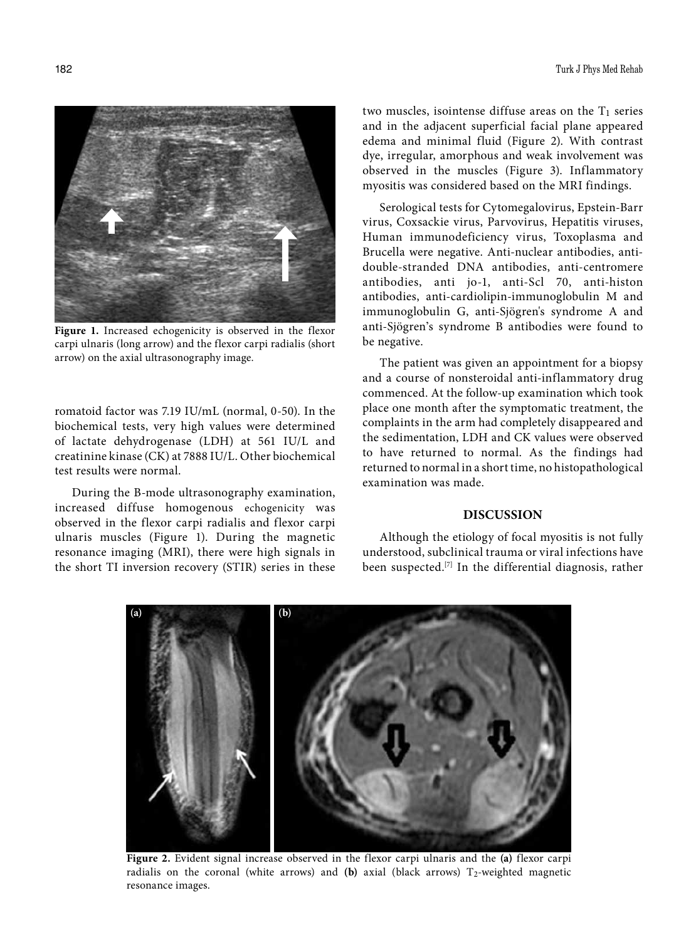

**Figure 1.** Increased echogenicity is observed in the flexor carpi ulnaris (long arrow) and the flexor carpi radialis (short arrow) on the axial ultrasonography image.

romatoid factor was 7.19 IU/mL (normal, 0-50). In the biochemical tests, very high values were determined of lactate dehydrogenase (LDH) at 561 IU/L and creatinine kinase (CK) at 7888 IU/L. Other biochemical test results were normal.

During the B-mode ultrasonography examination, increased diffuse homogenous echogenicity was observed in the flexor carpi radialis and flexor carpi ulnaris muscles (Figure 1). During the magnetic resonance imaging (MRI), there were high signals in the short TI inversion recovery (STIR) series in these two muscles, isointense diffuse areas on the  $T_1$  series and in the adjacent superficial facial plane appeared edema and minimal fluid (Figure 2). With contrast dye, irregular, amorphous and weak involvement was observed in the muscles (Figure 3). Inflammatory myositis was considered based on the MRI findings.

Serological tests for Cytomegalovirus, Epstein-Barr virus, Coxsackie virus, Parvovirus, Hepatitis viruses, Human immunodeficiency virus, Toxoplasma and Brucella were negative. Anti-nuclear antibodies, antidouble-stranded DNA antibodies, anti-centromere antibodies, anti jo-1, anti-Scl 70, anti-histon antibodies, anti-cardiolipin-immunoglobulin M and immunoglobulin G, anti-Sjögren's syndrome A and anti-Sjögren's syndrome B antibodies were found to be negative.

The patient was given an appointment for a biopsy and a course of nonsteroidal anti-inflammatory drug commenced. At the follow-up examination which took place one month after the symptomatic treatment, the complaints in the arm had completely disappeared and the sedimentation, LDH and CK values were observed to have returned to normal. As the findings had returned to normal in a short time, no histopathological examination was made.

## **DISCUSSION**

Although the etiology of focal myositis is not fully understood, subclinical trauma or viral infections have been suspected.[7] In the differential diagnosis, rather



**Figure 2.** Evident signal increase observed in the flexor carpi ulnaris and the **(a)** flexor carpi radialis on the coronal (white arrows) and (b) axial (black arrows) T<sub>2</sub>-weighted magnetic resonance images.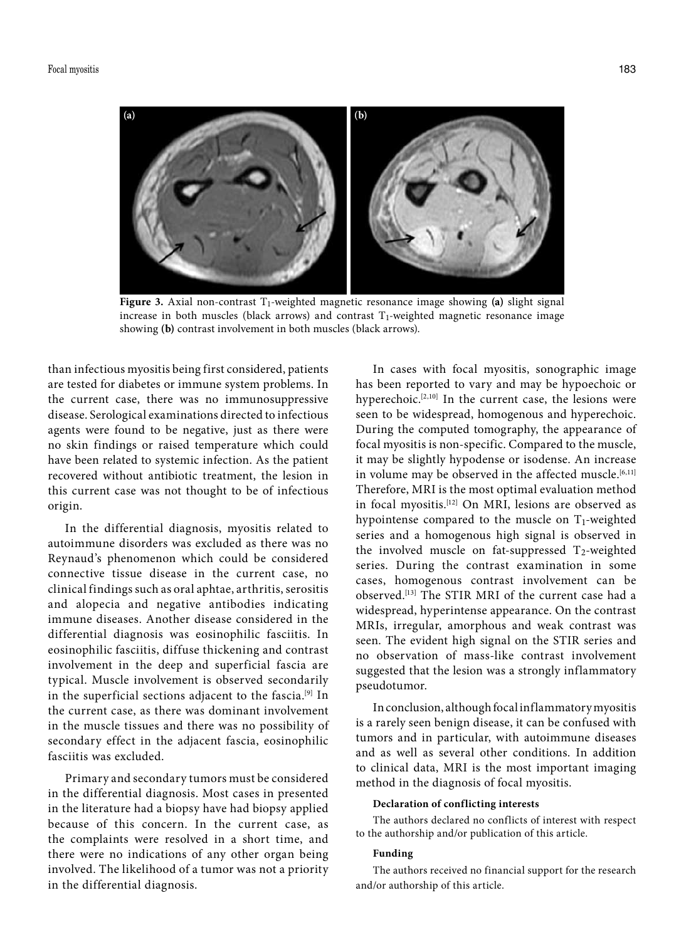

**Figure 3.** Axial non-contrast T<sub>1</sub>-weighted magnetic resonance image showing (a) slight signal increase in both muscles (black arrows) and contrast  $T_1$ -weighted magnetic resonance image showing **(b)** contrast involvement in both muscles (black arrows).

than infectious myositis being first considered, patients are tested for diabetes or immune system problems. In the current case, there was no immunosuppressive disease. Serological examinations directed to infectious agents were found to be negative, just as there were no skin findings or raised temperature which could have been related to systemic infection. As the patient recovered without antibiotic treatment, the lesion in this current case was not thought to be of infectious origin.

In the differential diagnosis, myositis related to autoimmune disorders was excluded as there was no Reynaud's phenomenon which could be considered connective tissue disease in the current case, no clinical findings such as oral aphtae, arthritis, serositis and alopecia and negative antibodies indicating immune diseases. Another disease considered in the differential diagnosis was eosinophilic fasciitis. In eosinophilic fasciitis, diffuse thickening and contrast involvement in the deep and superficial fascia are typical. Muscle involvement is observed secondarily in the superficial sections adjacent to the fascia.<sup>[9]</sup> In the current case, as there was dominant involvement in the muscle tissues and there was no possibility of secondary effect in the adjacent fascia, eosinophilic fasciitis was excluded.

Primary and secondary tumors must be considered in the differential diagnosis. Most cases in presented in the literature had a biopsy have had biopsy applied because of this concern. In the current case, as the complaints were resolved in a short time, and there were no indications of any other organ being involved. The likelihood of a tumor was not a priority in the differential diagnosis.

In cases with focal myositis, sonographic image has been reported to vary and may be hypoechoic or hyperechoic.<sup>[2,10]</sup> In the current case, the lesions were seen to be widespread, homogenous and hyperechoic. During the computed tomography, the appearance of focal myositis is non-specific. Compared to the muscle, it may be slightly hypodense or isodense. An increase in volume may be observed in the affected muscle.<sup>[6,11]</sup> Therefore, MRI is the most optimal evaluation method in focal myositis.[12] On MRI, lesions are observed as hypointense compared to the muscle on  $T_1$ -weighted series and a homogenous high signal is observed in the involved muscle on fat-suppressed  $T_2$ -weighted series. During the contrast examination in some cases, homogenous contrast involvement can be observed.[13] The STIR MRI of the current case had a widespread, hyperintense appearance. On the contrast MRIs, irregular, amorphous and weak contrast was seen. The evident high signal on the STIR series and no observation of mass-like contrast involvement suggested that the lesion was a strongly inflammatory pseudotumor.

In conclusion, although focal inflammatory myositis is a rarely seen benign disease, it can be confused with tumors and in particular, with autoimmune diseases and as well as several other conditions. In addition to clinical data, MRI is the most important imaging method in the diagnosis of focal myositis.

#### **Declaration of conflicting interests**

The authors declared no conflicts of interest with respect to the authorship and/or publication of this article.

### **Funding**

The authors received no financial support for the research and/or authorship of this article.